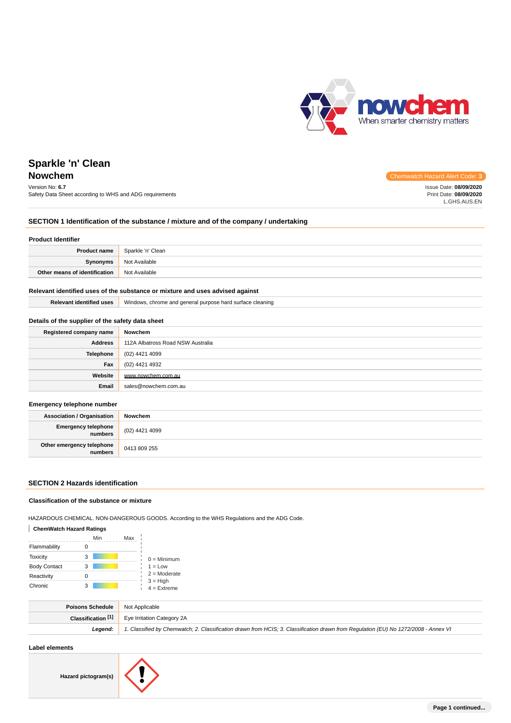

**Chemwatch Hazard Alert Code: 3** 

# **Sparkle 'n' Clean**

| Version No: 6.7                                         | Issue Date: 08/09/2020 |
|---------------------------------------------------------|------------------------|
| Safety Data Sheet according to WHS and ADG requirements | Print Date: 08/09/2020 |
|                                                         | L.GHS.AUS.EN           |

### **SECTION 1 Identification of the substance / mixture and of the company / undertaking**

### **Product Identifier**

| <b>Product name</b>           | Sparkle 'n' Clean |
|-------------------------------|-------------------|
| Synonyms                      | Not Available     |
| Other means of identification | Not Available     |

### **Relevant identified uses of the substance or mixture and uses advised against**

| .<br>l uses<br><b>Trandition</b><br>zant | <br>e cleaning<br>chrome and general<br>Windows.<br>l purpose hard surface i |
|------------------------------------------|------------------------------------------------------------------------------|
|                                          |                                                                              |

### **Details of the supplier of the safety data sheet**

| Registered company name | Nowchem                           |
|-------------------------|-----------------------------------|
| <b>Address</b>          | 112A Albatross Road NSW Australia |
| Telephone               | (02) 4421 4099                    |
| Fax                     | (02) 4421 4932                    |
| Website                 | www.nowchem.com.au                |
| Email                   | sales@nowchem.com.au              |

#### **Emergency telephone number**

| <b>Association / Organisation</b>            | Nowchem        |
|----------------------------------------------|----------------|
| <b>Emergency telephone</b><br><b>numbers</b> | (02) 4421 4099 |
| Other emergency telephone<br>numbers         | 0413 809 255   |

### **SECTION 2 Hazards identification**

### **Classification of the substance or mixture**

HAZARDOUS CHEMICAL. NON-DANGEROUS GOODS. According to the WHS Regulations and the ADG Code.

### **ChemWatch Hazard Ratings**

|                     | Min | Max |                             |
|---------------------|-----|-----|-----------------------------|
| Flammability        |     |     |                             |
| <b>Toxicity</b>     | з   |     | $0 =$ Minimum               |
| <b>Body Contact</b> | 3   |     | $1 = Low$                   |
| Reactivity          |     |     | $2 =$ Moderate              |
| Chronic             | 3   |     | $3 = High$<br>$4 =$ Extreme |

| <b>Poisons Schedule</b> Not Applicable |                                                                                                                                     |
|----------------------------------------|-------------------------------------------------------------------------------------------------------------------------------------|
|                                        | <b>Classification [1]</b> Eye Irritation Category 2A                                                                                |
| Leaend:                                | 1. Classified by Chemwatch; 2. Classification drawn from HCIS; 3. Classification drawn from Regulation (EU) No 1272/2008 - Annex VI |
|                                        |                                                                                                                                     |

#### **Label elements**

**Hazard pictogram(s)**

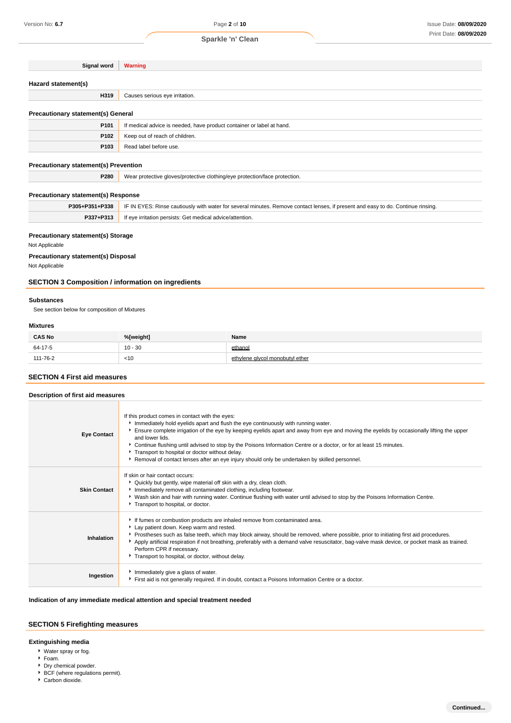### **Sparkle 'n' Clean**

| Signal word                                  | <b>Warning</b>                                                             |
|----------------------------------------------|----------------------------------------------------------------------------|
|                                              |                                                                            |
| Hazard statement(s)                          |                                                                            |
| H319                                         | Causes serious eye irritation.                                             |
|                                              |                                                                            |
| <b>Precautionary statement(s) General</b>    |                                                                            |
| P101                                         | If medical advice is needed, have product container or label at hand.      |
| P102                                         | Keep out of reach of children.                                             |
| P103                                         | Read label before use.                                                     |
| <b>Precautionary statement(s) Prevention</b> |                                                                            |
| P280                                         | Wear protective gloves/protective clothing/eye protection/face protection. |
|                                              |                                                                            |

### **Precautionary statement(s) Response**

| P305+P351+P338 | IF IN EYES: Rinse cautiously with water for several minutes. Remove contact lenses, if present and easy to do. Continue rinsing. |
|----------------|----------------------------------------------------------------------------------------------------------------------------------|
| P337+P313      | If eve irritation persists: Get medical advice/attention.                                                                        |

### **Precautionary statement(s) Storage**

Not Applicable

**Precautionary statement(s) Disposal**

Not Applicable

### **SECTION 3 Composition / information on ingredients**

#### **Substances**

See section below for composition of Mixtures

#### **Mixtures**

| <b>CAS No</b> | %[weight] | Name                            |
|---------------|-----------|---------------------------------|
| 64-17-5       | $10 - 30$ | ethanol                         |
| 111-76-2      | $<$ 10    | ethylene alvcol monobutyl ether |

### **SECTION 4 First aid measures**

#### **Description of first aid measures**

| <b>Eye Contact</b>  | If this product comes in contact with the eyes:<br>Immediately hold eyelids apart and flush the eye continuously with running water.<br>Ensure complete irrigation of the eye by keeping eyelids apart and away from eye and moving the eyelids by occasionally lifting the upper<br>and lower lids.<br>Continue flushing until advised to stop by the Poisons Information Centre or a doctor, or for at least 15 minutes.<br>Transport to hospital or doctor without delay.<br>Removal of contact lenses after an eye injury should only be undertaken by skilled personnel. |
|---------------------|-------------------------------------------------------------------------------------------------------------------------------------------------------------------------------------------------------------------------------------------------------------------------------------------------------------------------------------------------------------------------------------------------------------------------------------------------------------------------------------------------------------------------------------------------------------------------------|
| <b>Skin Contact</b> | If skin or hair contact occurs:<br>▶ Quickly but gently, wipe material off skin with a dry, clean cloth.<br>Immediately remove all contaminated clothing, including footwear.<br>▶ Wash skin and hair with running water. Continue flushing with water until advised to stop by the Poisons Information Centre.<br>Transport to hospital, or doctor.                                                                                                                                                                                                                          |
| Inhalation          | If fumes or combustion products are inhaled remove from contaminated area.<br>Lay patient down. Keep warm and rested.<br>▶ Prostheses such as false teeth, which may block airway, should be removed, where possible, prior to initiating first aid procedures.<br>Apply artificial respiration if not breathing, preferably with a demand valve resuscitator, bag-valve mask device, or pocket mask as trained.<br>Perform CPR if necessary.<br>Transport to hospital, or doctor, without delay.                                                                             |
| Ingestion           | Immediately give a glass of water.<br>First aid is not generally required. If in doubt, contact a Poisons Information Centre or a doctor.                                                                                                                                                                                                                                                                                                                                                                                                                                     |

### **Indication of any immediate medical attention and special treatment needed**

### **SECTION 5 Firefighting measures**

### **Extinguishing media**

- Water spray or fog.
- Foam.
- ▶ Dry chemical powder.
- **BCF** (where regulations permit).
- Carbon dioxide.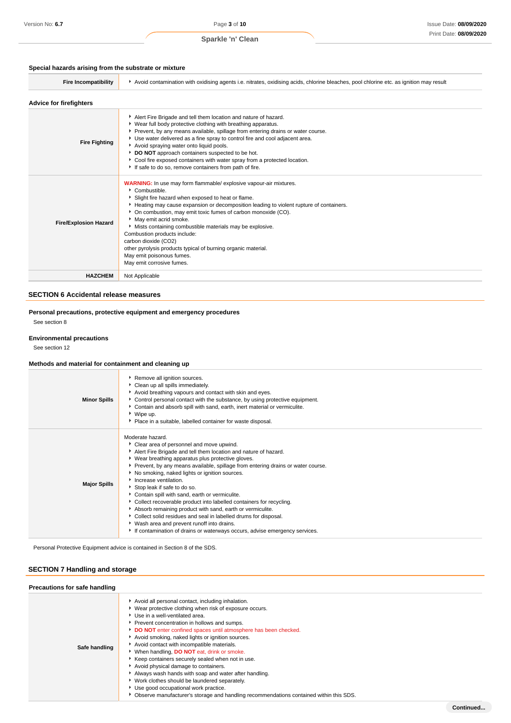Version No: **6.7** Page **3** of **10**

### **Special hazards arising from the substrate or mixture**

| <b>Fire Incompatibility</b>    | Avoid contamination with oxidising agents i.e. nitrates, oxidising acids, chlorine bleaches, pool chlorine etc. as ignition may result                                                                                                                                                                                                                                                                                                                                                                                                                                             |  |  |
|--------------------------------|------------------------------------------------------------------------------------------------------------------------------------------------------------------------------------------------------------------------------------------------------------------------------------------------------------------------------------------------------------------------------------------------------------------------------------------------------------------------------------------------------------------------------------------------------------------------------------|--|--|
| <b>Advice for firefighters</b> |                                                                                                                                                                                                                                                                                                                                                                                                                                                                                                                                                                                    |  |  |
| <b>Fire Fighting</b>           | Alert Fire Brigade and tell them location and nature of hazard.<br>▶ Wear full body protective clothing with breathing apparatus.<br>Prevent, by any means available, spillage from entering drains or water course.<br>Use water delivered as a fine spray to control fire and cool adjacent area.<br>Avoid spraying water onto liquid pools.<br>DO NOT approach containers suspected to be hot.<br>Cool fire exposed containers with water spray from a protected location.<br>If safe to do so, remove containers from path of fire.                                            |  |  |
| <b>Fire/Explosion Hazard</b>   | <b>WARNING:</b> In use may form flammable/ explosive vapour-air mixtures.<br>Combustible.<br>Slight fire hazard when exposed to heat or flame.<br>Heating may cause expansion or decomposition leading to violent rupture of containers.<br>• On combustion, may emit toxic fumes of carbon monoxide (CO).<br>May emit acrid smoke.<br>Mists containing combustible materials may be explosive.<br>Combustion products include:<br>carbon dioxide (CO2)<br>other pyrolysis products typical of burning organic material.<br>May emit poisonous fumes.<br>May emit corrosive fumes. |  |  |
| <b>HAZCHEM</b>                 | Not Applicable                                                                                                                                                                                                                                                                                                                                                                                                                                                                                                                                                                     |  |  |

### **SECTION 6 Accidental release measures**

**Personal precautions, protective equipment and emergency procedures** See section 8

### **Environmental precautions**

See section 12

### **Methods and material for containment and cleaning up**

| <b>Minor Spills</b> | Remove all ignition sources.<br>Clean up all spills immediately.<br>Avoid breathing vapours and contact with skin and eyes.<br>Control personal contact with the substance, by using protective equipment.<br>Contain and absorb spill with sand, earth, inert material or vermiculite.<br>▶ Wipe up.<br>Place in a suitable, labelled container for waste disposal.                                                                                                                                                                                                                                                                                                                                                                                                          |
|---------------------|-------------------------------------------------------------------------------------------------------------------------------------------------------------------------------------------------------------------------------------------------------------------------------------------------------------------------------------------------------------------------------------------------------------------------------------------------------------------------------------------------------------------------------------------------------------------------------------------------------------------------------------------------------------------------------------------------------------------------------------------------------------------------------|
| <b>Major Spills</b> | Moderate hazard.<br>Clear area of personnel and move upwind.<br>Alert Fire Brigade and tell them location and nature of hazard.<br>▶ Wear breathing apparatus plus protective gloves.<br>▶ Prevent, by any means available, spillage from entering drains or water course.<br>No smoking, naked lights or ignition sources.<br>Increase ventilation.<br>Stop leak if safe to do so.<br>Contain spill with sand, earth or vermiculite.<br>• Collect recoverable product into labelled containers for recycling.<br>Absorb remaining product with sand, earth or vermiculite.<br>• Collect solid residues and seal in labelled drums for disposal.<br>▶ Wash area and prevent runoff into drains.<br>If contamination of drains or waterways occurs, advise emergency services. |

Personal Protective Equipment advice is contained in Section 8 of the SDS.

### **SECTION 7 Handling and storage**

| Precautions for safe handling |                                                                                                                                                                                                                                                                                                                                                                                                                                                                                                                                                                                                                                                                                                                                                                |  |
|-------------------------------|----------------------------------------------------------------------------------------------------------------------------------------------------------------------------------------------------------------------------------------------------------------------------------------------------------------------------------------------------------------------------------------------------------------------------------------------------------------------------------------------------------------------------------------------------------------------------------------------------------------------------------------------------------------------------------------------------------------------------------------------------------------|--|
| Safe handling                 | Avoid all personal contact, including inhalation.<br>▶ Wear protective clothing when risk of exposure occurs.<br>Use in a well-ventilated area.<br>Prevent concentration in hollows and sumps.<br>DO NOT enter confined spaces until atmosphere has been checked.<br>Avoid smoking, naked lights or ignition sources.<br>Avoid contact with incompatible materials.<br>When handling, DO NOT eat, drink or smoke.<br>▶ Keep containers securely sealed when not in use.<br>Avoid physical damage to containers.<br>Always wash hands with soap and water after handling.<br>V Work clothes should be laundered separately.<br>Use good occupational work practice.<br>▶ Observe manufacturer's storage and handling recommendations contained within this SDS. |  |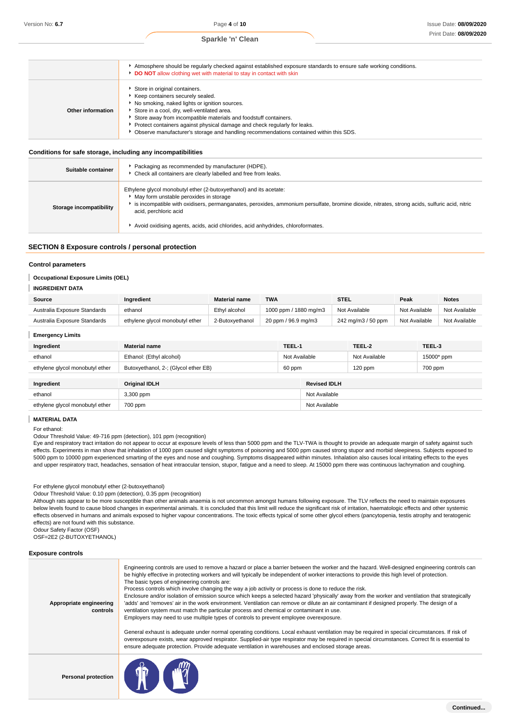|                   | Atmosphere should be regularly checked against established exposure standards to ensure safe working conditions.<br>DO NOT allow clothing wet with material to stay in contact with skin                                                                                                                                                                                                                       |
|-------------------|----------------------------------------------------------------------------------------------------------------------------------------------------------------------------------------------------------------------------------------------------------------------------------------------------------------------------------------------------------------------------------------------------------------|
| Other information | Store in original containers.<br>Keep containers securely sealed.<br>No smoking, naked lights or ignition sources.<br>Store in a cool, dry, well-ventilated area.<br>Store away from incompatible materials and foodstuff containers.<br>Protect containers against physical damage and check regularly for leaks.<br>▶ Observe manufacturer's storage and handling recommendations contained within this SDS. |

### **Conditions for safe storage, including any incompatibilities**

| Suitable container      | Packaging as recommended by manufacturer (HDPE).<br>• Check all containers are clearly labelled and free from leaks.                                                                                                                                                                                                                                                        |
|-------------------------|-----------------------------------------------------------------------------------------------------------------------------------------------------------------------------------------------------------------------------------------------------------------------------------------------------------------------------------------------------------------------------|
| Storage incompatibility | Ethylene glycol monobutyl ether (2-butoxyethanol) and its acetate:<br>• May form unstable peroxides in storage<br>is incompatible with oxidisers, permanganates, peroxides, ammonium persulfate, bromine dioxide, nitrates, strong acids, sulfuric acid, nitric<br>acid, perchloric acid<br>Avoid oxidising agents, acids, acid chlorides, acid anhydrides, chloroformates. |

### **SECTION 8 Exposure controls / personal protection**

#### **Control parameters**

#### I **Occupational Exposure Limits (OEL)**

### **INGREDIENT DATA**

| Source                       | Ingredient                      | <b>Material name</b> | TWA                   | <b>STEL</b>        | Peak          | <b>Notes</b>  |
|------------------------------|---------------------------------|----------------------|-----------------------|--------------------|---------------|---------------|
| Australia Exposure Standards | ethanol                         | Ethyl alcohol        | 1000 ppm / 1880 mg/m3 | Not Available      | Not Available | Not Available |
| Australia Exposure Standards | ethylene glycol monobutyl ether | 2-Butoxvethanol      | 20 ppm / 96.9 mg/m3   | 242 mg/m3 / 50 ppm | Not Available | Not Available |

| Ingredient                      | <b>Material name</b>                 | TEEL-1        |                     | TEEL-2        | TEEL-3     |
|---------------------------------|--------------------------------------|---------------|---------------------|---------------|------------|
| ethanol                         | Ethanol: (Ethyl alcohol)             | Not Available |                     | Not Available | 15000* ppm |
| ethylene glycol monobutyl ether | Butoxyethanol, 2-; (Glycol ether EB) | 60 ppm        |                     | $120$ ppm     | 700 ppm    |
|                                 |                                      |               |                     |               |            |
| Ingredient                      | <b>Original IDLH</b>                 |               | <b>Revised IDLH</b> |               |            |
| ethanol                         | 3,300 ppm                            |               | Not Available       |               |            |
| ethylene glycol monobutyl ether | 700 ppm                              |               | Not Available       |               |            |

**MATERIAL DATA**

For ethanol:

I

Odour Threshold Value: 49-716 ppm (detection), 101 ppm (recognition)

Eye and respiratory tract irritation do not appear to occur at exposure levels of less than 5000 ppm and the TLV-TWA is thought to provide an adequate margin of safety against such effects. Experiments in man show that inhalation of 1000 ppm caused slight symptoms of poisoning and 5000 ppm caused strong stupor and morbid sleepiness. Subjects exposed to 5000 ppm to 10000 ppm experienced smarting of the eyes and nose and coughing. Symptoms disappeared within minutes. Inhalation also causes local irritating effects to the eyes and upper respiratory tract, headaches, sensation of heat intraocular tension, stupor, fatigue and a need to sleep. At 15000 ppm there was continuous lachrymation and coughing.

For ethylene glycol monobutyl ether (2-butoxyethanol)

Odour Threshold Value: 0.10 ppm (detection), 0.35 ppm (recognition)

Although rats appear to be more susceptible than other animals anaemia is not uncommon amongst humans following exposure. The TLV reflects the need to maintain exposures below levels found to cause blood changes in experimental animals. It is concluded that this limit will reduce the significant risk of irritation, haematologic effects and other systemic effects observed in humans and animals exposed to higher vapour concentrations. The toxic effects typical of some other glycol ethers (pancytopenia, testis atrophy and teratogenic effects) are not found with this substance.

Odour Safety Factor (OSF)

OSF=2E2 (2-BUTOXYETHANOL)

#### **Exposure controls**

| Appropriate engineering<br>controls | Engineering controls are used to remove a hazard or place a barrier between the worker and the hazard. Well-designed engineering controls can<br>be highly effective in protecting workers and will typically be independent of worker interactions to provide this high level of protection.<br>The basic types of engineering controls are:<br>Process controls which involve changing the way a job activity or process is done to reduce the risk.<br>Enclosure and/or isolation of emission source which keeps a selected hazard 'physically' away from the worker and ventilation that strategically<br>'adds' and 'removes' air in the work environment. Ventilation can remove or dilute an air contaminant if designed properly. The design of a<br>ventilation system must match the particular process and chemical or contaminant in use.<br>Employers may need to use multiple types of controls to prevent employee overexposure.<br>General exhaust is adequate under normal operating conditions. Local exhaust ventilation may be required in special circumstances. If risk of<br>overexposure exists, wear approved respirator. Supplied-air type respirator may be required in special circumstances. Correct fit is essential to<br>ensure adequate protection. Provide adequate ventilation in warehouses and enclosed storage areas. |
|-------------------------------------|-------------------------------------------------------------------------------------------------------------------------------------------------------------------------------------------------------------------------------------------------------------------------------------------------------------------------------------------------------------------------------------------------------------------------------------------------------------------------------------------------------------------------------------------------------------------------------------------------------------------------------------------------------------------------------------------------------------------------------------------------------------------------------------------------------------------------------------------------------------------------------------------------------------------------------------------------------------------------------------------------------------------------------------------------------------------------------------------------------------------------------------------------------------------------------------------------------------------------------------------------------------------------------------------------------------------------------------------------------------|
| <b>Personal protection</b>          |                                                                                                                                                                                                                                                                                                                                                                                                                                                                                                                                                                                                                                                                                                                                                                                                                                                                                                                                                                                                                                                                                                                                                                                                                                                                                                                                                             |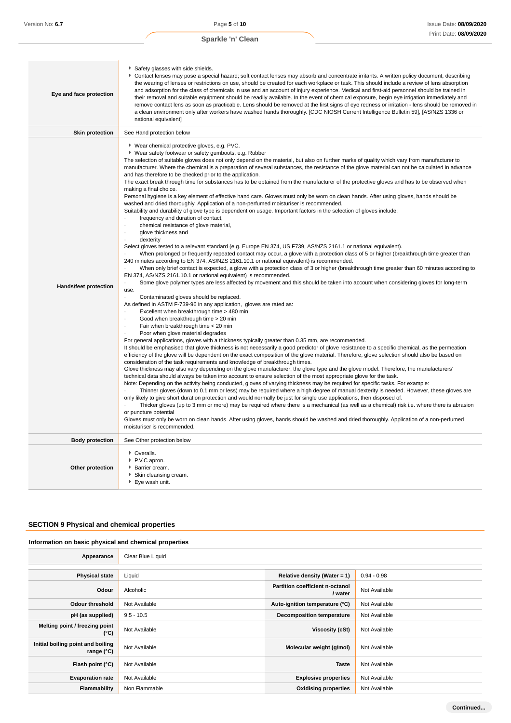| Eye and face protection      | Safety glasses with side shields.<br>Contact lenses may pose a special hazard; soft contact lenses may absorb and concentrate irritants. A written policy document, describing<br>the wearing of lenses or restrictions on use, should be created for each workplace or task. This should include a review of lens absorption<br>and adsorption for the class of chemicals in use and an account of injury experience. Medical and first-aid personnel should be trained in<br>their removal and suitable equipment should be readily available. In the event of chemical exposure, begin eye irrigation immediately and<br>remove contact lens as soon as practicable. Lens should be removed at the first signs of eye redness or irritation - lens should be removed in<br>a clean environment only after workers have washed hands thoroughly. [CDC NIOSH Current Intelligence Bulletin 59], [AS/NZS 1336 or<br>national equivalent]                                                                                                                                                                                                                                                                                                                                                                                                                                                                                                                                                                                                                                                                                                                                                                                                                                                                                                                                                                                                                                                                                                                                                                                                                                                                                                                                                                                                                                                                                                                                                                                                                                                                                                                                                                                                                                                                                                                                                                                                                                                                                                                                                                                                                                                                                                                                                                                                                                                                                                                                                                                                                                                                                                                                                               |
|------------------------------|--------------------------------------------------------------------------------------------------------------------------------------------------------------------------------------------------------------------------------------------------------------------------------------------------------------------------------------------------------------------------------------------------------------------------------------------------------------------------------------------------------------------------------------------------------------------------------------------------------------------------------------------------------------------------------------------------------------------------------------------------------------------------------------------------------------------------------------------------------------------------------------------------------------------------------------------------------------------------------------------------------------------------------------------------------------------------------------------------------------------------------------------------------------------------------------------------------------------------------------------------------------------------------------------------------------------------------------------------------------------------------------------------------------------------------------------------------------------------------------------------------------------------------------------------------------------------------------------------------------------------------------------------------------------------------------------------------------------------------------------------------------------------------------------------------------------------------------------------------------------------------------------------------------------------------------------------------------------------------------------------------------------------------------------------------------------------------------------------------------------------------------------------------------------------------------------------------------------------------------------------------------------------------------------------------------------------------------------------------------------------------------------------------------------------------------------------------------------------------------------------------------------------------------------------------------------------------------------------------------------------------------------------------------------------------------------------------------------------------------------------------------------------------------------------------------------------------------------------------------------------------------------------------------------------------------------------------------------------------------------------------------------------------------------------------------------------------------------------------------------------------------------------------------------------------------------------------------------------------------------------------------------------------------------------------------------------------------------------------------------------------------------------------------------------------------------------------------------------------------------------------------------------------------------------------------------------------------------------------------------------------------------------------------------------------------------------------|
| <b>Skin protection</b>       | See Hand protection below                                                                                                                                                                                                                                                                                                                                                                                                                                                                                                                                                                                                                                                                                                                                                                                                                                                                                                                                                                                                                                                                                                                                                                                                                                                                                                                                                                                                                                                                                                                                                                                                                                                                                                                                                                                                                                                                                                                                                                                                                                                                                                                                                                                                                                                                                                                                                                                                                                                                                                                                                                                                                                                                                                                                                                                                                                                                                                                                                                                                                                                                                                                                                                                                                                                                                                                                                                                                                                                                                                                                                                                                                                                                              |
| <b>Hands/feet protection</b> | ▶ Wear chemical protective gloves, e.g. PVC.<br>▶ Wear safety footwear or safety gumboots, e.g. Rubber<br>The selection of suitable gloves does not only depend on the material, but also on further marks of quality which vary from manufacturer to<br>manufacturer. Where the chemical is a preparation of several substances, the resistance of the glove material can not be calculated in advance<br>and has therefore to be checked prior to the application.<br>The exact break through time for substances has to be obtained from the manufacturer of the protective gloves and has to be observed when<br>making a final choice.<br>Personal hygiene is a key element of effective hand care. Gloves must only be worn on clean hands. After using gloves, hands should be<br>washed and dried thoroughly. Application of a non-perfumed moisturiser is recommended.<br>Suitability and durability of glove type is dependent on usage. Important factors in the selection of gloves include:<br>frequency and duration of contact,<br>chemical resistance of glove material,<br>$\cdot$<br>glove thickness and<br>$\cdot$<br>dexterity<br>Select gloves tested to a relevant standard (e.g. Europe EN 374, US F739, AS/NZS 2161.1 or national equivalent).<br>When prolonged or frequently repeated contact may occur, a glove with a protection class of 5 or higher (breakthrough time greater than<br>240 minutes according to EN 374, AS/NZS 2161.10.1 or national equivalent) is recommended.<br>When only brief contact is expected, a glove with a protection class of 3 or higher (breakthrough time greater than 60 minutes according to<br>EN 374, AS/NZS 2161.10.1 or national equivalent) is recommended.<br>Some glove polymer types are less affected by movement and this should be taken into account when considering gloves for long-term<br>use.<br>Contaminated gloves should be replaced.<br>As defined in ASTM F-739-96 in any application, gloves are rated as:<br>Excellent when breakthrough time > 480 min<br>Good when breakthrough time > 20 min<br>$\ddot{\phantom{0}}$<br>Fair when breakthrough time < 20 min<br>Poor when glove material degrades<br>For general applications, gloves with a thickness typically greater than 0.35 mm, are recommended.<br>It should be emphasised that glove thickness is not necessarily a good predictor of glove resistance to a specific chemical, as the permeation<br>efficiency of the glove will be dependent on the exact composition of the glove material. Therefore, glove selection should also be based on<br>consideration of the task requirements and knowledge of breakthrough times.<br>Glove thickness may also vary depending on the glove manufacturer, the glove type and the glove model. Therefore, the manufacturers'<br>technical data should always be taken into account to ensure selection of the most appropriate glove for the task.<br>Note: Depending on the activity being conducted, gloves of varying thickness may be required for specific tasks. For example:<br>Thinner gloves (down to 0.1 mm or less) may be required where a high degree of manual dexterity is needed. However, these gloves are<br>only likely to give short duration protection and would normally be just for single use applications, then disposed of.<br>Thicker gloves (up to 3 mm or more) may be required where there is a mechanical (as well as a chemical) risk i.e. where there is abrasion<br>or puncture potential<br>Gloves must only be worn on clean hands. After using gloves, hands should be washed and dried thoroughly. Application of a non-perfumed<br>moisturiser is recommended. |
| <b>Body protection</b>       | See Other protection below                                                                                                                                                                                                                                                                                                                                                                                                                                                                                                                                                                                                                                                                                                                                                                                                                                                                                                                                                                                                                                                                                                                                                                                                                                                                                                                                                                                                                                                                                                                                                                                                                                                                                                                                                                                                                                                                                                                                                                                                                                                                                                                                                                                                                                                                                                                                                                                                                                                                                                                                                                                                                                                                                                                                                                                                                                                                                                                                                                                                                                                                                                                                                                                                                                                                                                                                                                                                                                                                                                                                                                                                                                                                             |
| Other protection             | • Overalls.<br>P.V.C apron.<br>Barrier cream.<br>Skin cleansing cream.<br>▶ Eye wash unit.                                                                                                                                                                                                                                                                                                                                                                                                                                                                                                                                                                                                                                                                                                                                                                                                                                                                                                                                                                                                                                                                                                                                                                                                                                                                                                                                                                                                                                                                                                                                                                                                                                                                                                                                                                                                                                                                                                                                                                                                                                                                                                                                                                                                                                                                                                                                                                                                                                                                                                                                                                                                                                                                                                                                                                                                                                                                                                                                                                                                                                                                                                                                                                                                                                                                                                                                                                                                                                                                                                                                                                                                             |

# **SECTION 9 Physical and chemical properties**

### **Information on basic physical and chemical properties**

| Appearance                                      | Clear Blue Liquid |                                            |               |
|-------------------------------------------------|-------------------|--------------------------------------------|---------------|
|                                                 |                   |                                            |               |
| <b>Physical state</b>                           | Liquid            | Relative density (Water = $1$ )            | $0.94 - 0.98$ |
| Odour                                           | Alcoholic         | Partition coefficient n-octanol<br>/ water | Not Available |
| <b>Odour threshold</b>                          | Not Available     | Auto-ignition temperature (°C)             | Not Available |
| pH (as supplied)                                | $9.5 - 10.5$      | <b>Decomposition temperature</b>           | Not Available |
| Melting point / freezing point<br>(°C)          | Not Available     | Viscosity (cSt)                            | Not Available |
| Initial boiling point and boiling<br>range (°C) | Not Available     | Molecular weight (g/mol)                   | Not Available |
| Flash point (°C)                                | Not Available     | <b>Taste</b>                               | Not Available |
| <b>Evaporation rate</b>                         | Not Available     | <b>Explosive properties</b>                | Not Available |
| Flammability                                    | Non Flammable     | <b>Oxidising properties</b>                | Not Available |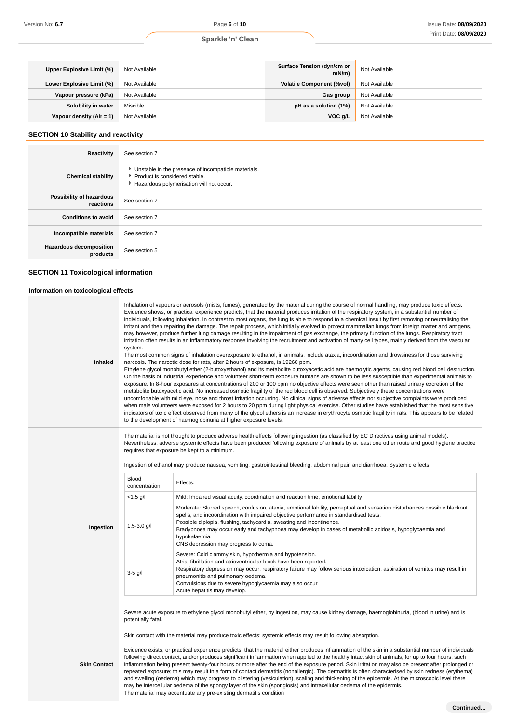### **Sparkle 'n' Clean**

| Upper Explosive Limit (%) | Not Available | Surface Tension (dyn/cm or<br>mN/m | Not Available |
|---------------------------|---------------|------------------------------------|---------------|
| Lower Explosive Limit (%) | Not Available | <b>Volatile Component (%vol)</b>   | Not Available |
| Vapour pressure (kPa)     | Not Available | Gas group                          | Not Available |
| Solubility in water       | Miscible      | pH as a solution (1%)              | Not Available |
| Vapour density (Air = 1)  | Not Available | VOC g/L                            | Not Available |

### **SECTION 10 Stability and reactivity**

| Reactivity                                  | See section 7                                                                                                                    |
|---------------------------------------------|----------------------------------------------------------------------------------------------------------------------------------|
| <b>Chemical stability</b>                   | Unstable in the presence of incompatible materials.<br>Product is considered stable.<br>Hazardous polymerisation will not occur. |
| Possibility of hazardous<br>reactions       | See section 7                                                                                                                    |
| <b>Conditions to avoid</b>                  | See section 7                                                                                                                    |
| Incompatible materials                      | See section 7                                                                                                                    |
| <b>Hazardous decomposition</b><br>products  | See section 5                                                                                                                    |
| <b>SECTION 11 Toxicological information</b> |                                                                                                                                  |

| Information on toxicological effects |  |  |  |  |
|--------------------------------------|--|--|--|--|
|--------------------------------------|--|--|--|--|

| Inhaled             | Inhalation of vapours or aerosols (mists, fumes), generated by the material during the course of normal handling, may produce toxic effects.<br>Evidence shows, or practical experience predicts, that the material produces irritation of the respiratory system, in a substantial number of<br>individuals, following inhalation. In contrast to most organs, the lung is able to respond to a chemical insult by first removing or neutralising the<br>irritant and then repairing the damage. The repair process, which initially evolved to protect mammalian lungs from foreign matter and antigens,<br>may however, produce further lung damage resulting in the impairment of gas exchange, the primary function of the lungs. Respiratory tract<br>irritation often results in an inflammatory response involving the recruitment and activation of many cell types, mainly derived from the vascular<br>system.<br>The most common signs of inhalation overexposure to ethanol, in animals, include ataxia, incoordination and drowsiness for those surviving<br>narcosis. The narcotic dose for rats, after 2 hours of exposure, is 19260 ppm.<br>Ethylene glycol monobutyl ether (2-butoxyethanol) and its metabolite butoxyacetic acid are haemolytic agents, causing red blood cell destruction.<br>On the basis of industrial experience and volunteer short-term exposure humans are shown to be less susceptible than experimental animals to<br>exposure. In 8-hour exposures at concentrations of 200 or 100 ppm no objective effects were seen other than raised urinary excretion of the<br>metabolite butoxyacetic acid. No increased osmotic fragility of the red blood cell is observed. Subjectively these concentrations were<br>uncomfortable with mild eye, nose and throat irritation occurring. No clinical signs of adverse effects nor subjective complaints were produced<br>when male volunteers were exposed for 2 hours to 20 ppm during light physical exercise. Other studies have established that the most sensitive<br>indicators of toxic effect observed from many of the glycol ethers is an increase in erythrocyte osmotic fragility in rats. This appears to be related<br>to the development of haemoglobinuria at higher exposure levels. |                                                                                                                                                                                                                                                                                                                                                                                                                                                                |  |
|---------------------|--------------------------------------------------------------------------------------------------------------------------------------------------------------------------------------------------------------------------------------------------------------------------------------------------------------------------------------------------------------------------------------------------------------------------------------------------------------------------------------------------------------------------------------------------------------------------------------------------------------------------------------------------------------------------------------------------------------------------------------------------------------------------------------------------------------------------------------------------------------------------------------------------------------------------------------------------------------------------------------------------------------------------------------------------------------------------------------------------------------------------------------------------------------------------------------------------------------------------------------------------------------------------------------------------------------------------------------------------------------------------------------------------------------------------------------------------------------------------------------------------------------------------------------------------------------------------------------------------------------------------------------------------------------------------------------------------------------------------------------------------------------------------------------------------------------------------------------------------------------------------------------------------------------------------------------------------------------------------------------------------------------------------------------------------------------------------------------------------------------------------------------------------------------------------------------------------------------------------------------------------------------------------------------------|----------------------------------------------------------------------------------------------------------------------------------------------------------------------------------------------------------------------------------------------------------------------------------------------------------------------------------------------------------------------------------------------------------------------------------------------------------------|--|
|                     | The material is not thought to produce adverse health effects following ingestion (as classified by EC Directives using animal models).<br>Nevertheless, adverse systemic effects have been produced following exposure of animals by at least one other route and good hygiene practice<br>requires that exposure be kept to a minimum.<br>Ingestion of ethanol may produce nausea, vomiting, gastrointestinal bleeding, abdominal pain and diarrhoea. Systemic effects:                                                                                                                                                                                                                                                                                                                                                                                                                                                                                                                                                                                                                                                                                                                                                                                                                                                                                                                                                                                                                                                                                                                                                                                                                                                                                                                                                                                                                                                                                                                                                                                                                                                                                                                                                                                                                  |                                                                                                                                                                                                                                                                                                                                                                                                                                                                |  |
|                     | <b>Blood</b><br>concentration:                                                                                                                                                                                                                                                                                                                                                                                                                                                                                                                                                                                                                                                                                                                                                                                                                                                                                                                                                                                                                                                                                                                                                                                                                                                                                                                                                                                                                                                                                                                                                                                                                                                                                                                                                                                                                                                                                                                                                                                                                                                                                                                                                                                                                                                             | Effects:                                                                                                                                                                                                                                                                                                                                                                                                                                                       |  |
|                     | $< 1.5$ g/l                                                                                                                                                                                                                                                                                                                                                                                                                                                                                                                                                                                                                                                                                                                                                                                                                                                                                                                                                                                                                                                                                                                                                                                                                                                                                                                                                                                                                                                                                                                                                                                                                                                                                                                                                                                                                                                                                                                                                                                                                                                                                                                                                                                                                                                                                | Mild: Impaired visual acuity, coordination and reaction time, emotional lability                                                                                                                                                                                                                                                                                                                                                                               |  |
| Ingestion           | $1.5 - 3.0$ g/l                                                                                                                                                                                                                                                                                                                                                                                                                                                                                                                                                                                                                                                                                                                                                                                                                                                                                                                                                                                                                                                                                                                                                                                                                                                                                                                                                                                                                                                                                                                                                                                                                                                                                                                                                                                                                                                                                                                                                                                                                                                                                                                                                                                                                                                                            | Moderate: Slurred speech, confusion, ataxia, emotional lability, perceptual and sensation disturbances possible blackout<br>spells, and incoordination with impaired objective performance in standardised tests.<br>Possible diplopia, flushing, tachycardia, sweating and incontinence.<br>Bradypnoea may occur early and tachypnoea may develop in cases of metabollic acidosis, hypoglycaemia and<br>hypokalaemia.<br>CNS depression may progress to coma. |  |
|                     | $3-5$ g/l                                                                                                                                                                                                                                                                                                                                                                                                                                                                                                                                                                                                                                                                                                                                                                                                                                                                                                                                                                                                                                                                                                                                                                                                                                                                                                                                                                                                                                                                                                                                                                                                                                                                                                                                                                                                                                                                                                                                                                                                                                                                                                                                                                                                                                                                                  | Severe: Cold clammy skin, hypothermia and hypotension.<br>Atrial fibrillation and atrioventricular block have been reported.<br>Respiratory depression may occur, respiratory failure may follow serious intoxication, aspiration of vomitus may result in<br>pneumonitis and pulmonary oedema.<br>Convulsions due to severe hypoglycaemia may also occur                                                                                                      |  |
|                     | Acute hepatitis may develop.<br>Severe acute exposure to ethylene glycol monobutyl ether, by ingestion, may cause kidney damage, haemoglobinuria, (blood in urine) and is<br>potentially fatal.                                                                                                                                                                                                                                                                                                                                                                                                                                                                                                                                                                                                                                                                                                                                                                                                                                                                                                                                                                                                                                                                                                                                                                                                                                                                                                                                                                                                                                                                                                                                                                                                                                                                                                                                                                                                                                                                                                                                                                                                                                                                                            |                                                                                                                                                                                                                                                                                                                                                                                                                                                                |  |
|                     | Skin contact with the material may produce toxic effects; systemic effects may result following absorption.                                                                                                                                                                                                                                                                                                                                                                                                                                                                                                                                                                                                                                                                                                                                                                                                                                                                                                                                                                                                                                                                                                                                                                                                                                                                                                                                                                                                                                                                                                                                                                                                                                                                                                                                                                                                                                                                                                                                                                                                                                                                                                                                                                                |                                                                                                                                                                                                                                                                                                                                                                                                                                                                |  |
| <b>Skin Contact</b> | Evidence exists, or practical experience predicts, that the material either produces inflammation of the skin in a substantial number of individuals<br>following direct contact, and/or produces significant inflammation when applied to the healthy intact skin of animals, for up to four hours, such<br>inflammation being present twenty-four hours or more after the end of the exposure period. Skin irritation may also be present after prolonged or<br>repeated exposure; this may result in a form of contact dermatitis (nonallergic). The dermatitis is often characterised by skin redness (erythema)<br>and swelling (oedema) which may progress to blistering (vesiculation), scaling and thickening of the epidermis. At the microscopic level there<br>may be intercellular oedema of the spongy layer of the skin (spongiosis) and intracellular oedema of the epidermis.<br>The material may accentuate any pre-existing dermatitis condition                                                                                                                                                                                                                                                                                                                                                                                                                                                                                                                                                                                                                                                                                                                                                                                                                                                                                                                                                                                                                                                                                                                                                                                                                                                                                                                         |                                                                                                                                                                                                                                                                                                                                                                                                                                                                |  |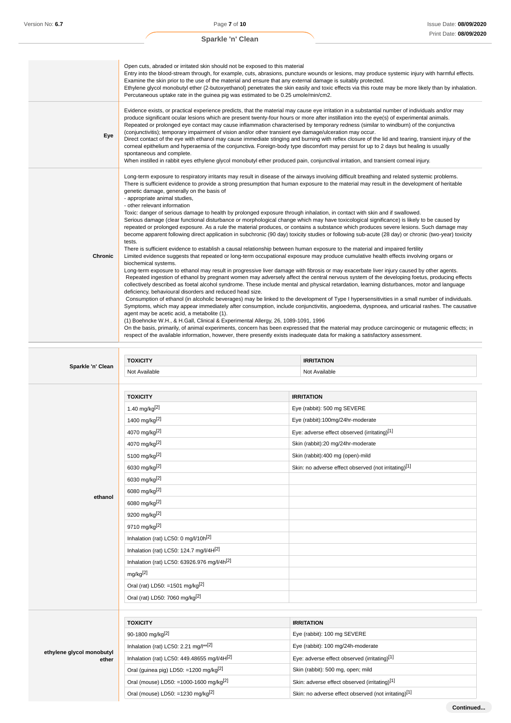|         | PIIIII Dale. <b>Voivel2</b><br>Sparkle 'n' Clean                                                                                                                                                                                                                                                                                                                                                                                                                                                                                                                                                                                                                                                                                                                                                                                                                                                                                                                                                                                                                                                                                                                                                                                                                                                                                                                                                                                                                                                                                                                                                                                                                                                                                                                                                                                                                                                                                                                                                                                                                                                                                                                                                                                                                                                                                                                                                                                                                                                                                  |
|---------|-----------------------------------------------------------------------------------------------------------------------------------------------------------------------------------------------------------------------------------------------------------------------------------------------------------------------------------------------------------------------------------------------------------------------------------------------------------------------------------------------------------------------------------------------------------------------------------------------------------------------------------------------------------------------------------------------------------------------------------------------------------------------------------------------------------------------------------------------------------------------------------------------------------------------------------------------------------------------------------------------------------------------------------------------------------------------------------------------------------------------------------------------------------------------------------------------------------------------------------------------------------------------------------------------------------------------------------------------------------------------------------------------------------------------------------------------------------------------------------------------------------------------------------------------------------------------------------------------------------------------------------------------------------------------------------------------------------------------------------------------------------------------------------------------------------------------------------------------------------------------------------------------------------------------------------------------------------------------------------------------------------------------------------------------------------------------------------------------------------------------------------------------------------------------------------------------------------------------------------------------------------------------------------------------------------------------------------------------------------------------------------------------------------------------------------------------------------------------------------------------------------------------------------|
|         |                                                                                                                                                                                                                                                                                                                                                                                                                                                                                                                                                                                                                                                                                                                                                                                                                                                                                                                                                                                                                                                                                                                                                                                                                                                                                                                                                                                                                                                                                                                                                                                                                                                                                                                                                                                                                                                                                                                                                                                                                                                                                                                                                                                                                                                                                                                                                                                                                                                                                                                                   |
|         | Open cuts, abraded or irritated skin should not be exposed to this material<br>Entry into the blood-stream through, for example, cuts, abrasions, puncture wounds or lesions, may produce systemic injury with harmful effects.<br>Examine the skin prior to the use of the material and ensure that any external damage is suitably protected.<br>Ethylene glycol monobutyl ether (2-butoxyethanol) penetrates the skin easily and toxic effects via this route may be more likely than by inhalation.<br>Percutaneous uptake rate in the guinea pig was estimated to be 0.25 umole/min/cm2.                                                                                                                                                                                                                                                                                                                                                                                                                                                                                                                                                                                                                                                                                                                                                                                                                                                                                                                                                                                                                                                                                                                                                                                                                                                                                                                                                                                                                                                                                                                                                                                                                                                                                                                                                                                                                                                                                                                                     |
| Eye     | Evidence exists, or practical experience predicts, that the material may cause eye irritation in a substantial number of individuals and/or may<br>produce significant ocular lesions which are present twenty-four hours or more after instillation into the eye(s) of experimental animals.<br>Repeated or prolonged eye contact may cause inflammation characterised by temporary redness (similar to windburn) of the conjunctiva<br>(conjunctivitis); temporary impairment of vision and/or other transient eye damage/ulceration may occur.<br>Direct contact of the eye with ethanol may cause immediate stinging and burning with reflex closure of the lid and tearing, transient injury of the<br>corneal epithelium and hyperaemia of the conjunctiva. Foreign-body type discomfort may persist for up to 2 days but healing is usually<br>spontaneous and complete.<br>When instilled in rabbit eyes ethylene glycol monobutyl ether produced pain, conjunctival irritation, and transient corneal injury.                                                                                                                                                                                                                                                                                                                                                                                                                                                                                                                                                                                                                                                                                                                                                                                                                                                                                                                                                                                                                                                                                                                                                                                                                                                                                                                                                                                                                                                                                                            |
| Chronic | Long-term exposure to respiratory irritants may result in disease of the airways involving difficult breathing and related systemic problems.<br>There is sufficient evidence to provide a strong presumption that human exposure to the material may result in the development of heritable<br>genetic damage, generally on the basis of<br>- appropriate animal studies,<br>- other relevant information<br>Toxic: danger of serious damage to health by prolonged exposure through inhalation, in contact with skin and if swallowed.<br>Serious damage (clear functional disturbance or morphological change which may have toxicological significance) is likely to be caused by<br>repeated or prolonged exposure. As a rule the material produces, or contains a substance which produces severe lesions. Such damage may<br>become apparent following direct application in subchronic (90 day) toxicity studies or following sub-acute (28 day) or chronic (two-year) toxicity<br>tests.<br>There is sufficient evidence to establish a causal relationship between human exposure to the material and impaired fertility<br>Limited evidence suggests that repeated or long-term occupational exposure may produce cumulative health effects involving organs or<br>biochemical systems.<br>Long-term exposure to ethanol may result in progressive liver damage with fibrosis or may exacerbate liver injury caused by other agents.<br>Repeated ingestion of ethanol by pregnant women may adversely affect the central nervous system of the developing foetus, producing effects<br>collectively described as foetal alcohol syndrome. These include mental and physical retardation, learning disturbances, motor and language<br>deficiency, behavioural disorders and reduced head size.<br>Consumption of ethanol (in alcoholic beverages) may be linked to the development of Type I hypersensitivities in a small number of individuals.<br>Symptoms, which may appear immediately after consumption, include conjunctivitis, angioedema, dyspnoea, and urticarial rashes. The causative<br>agent may be acetic acid, a metabolite (1).<br>(1) Boehncke W.H., & H.Gall, Clinical & Experimental Allergy, 26, 1089-1091, 1996<br>On the basis, primarily, of animal experiments, concern has been expressed that the material may produce carcinogenic or mutagenic effects; in<br>respect of the available information, however, there presently exists inadequate data for making a satisfactory assessment. |

|                                    | <b>TOXICITY</b>                                    | <b>IRRITATION</b>                                    |  |
|------------------------------------|----------------------------------------------------|------------------------------------------------------|--|
| Sparkle 'n' Clean                  | Not Available                                      | Not Available                                        |  |
|                                    |                                                    |                                                      |  |
|                                    | <b>TOXICITY</b>                                    | <b>IRRITATION</b>                                    |  |
|                                    | 1.40 mg/kg[2]                                      | Eye (rabbit): 500 mg SEVERE                          |  |
|                                    | 1400 mg/kg[2]                                      | Eye (rabbit):100mg/24hr-moderate                     |  |
|                                    | 4070 mg/kg[2]                                      | Eye: adverse effect observed (irritating)[1]         |  |
|                                    | 4070 mg/kg[2]                                      | Skin (rabbit):20 mg/24hr-moderate                    |  |
|                                    | 5100 mg/kg <sup>[2]</sup>                          | Skin (rabbit):400 mg (open)-mild                     |  |
|                                    | 6030 mg/kg[2]                                      | Skin: no adverse effect observed (not irritating)[1] |  |
|                                    | 6030 mg/kg[2]                                      |                                                      |  |
| ethanol                            | 6080 mg/kg[2]                                      |                                                      |  |
|                                    | 6080 mg/kg[2]                                      |                                                      |  |
|                                    | 9200 mg/kg[2]                                      |                                                      |  |
|                                    | 9710 mg/kg[2]                                      |                                                      |  |
|                                    | Inhalation (rat) LC50: 0 mg/l/10h <sup>[2]</sup>   |                                                      |  |
|                                    | Inhalation (rat) LC50: 124.7 mg/l/4H[2]            |                                                      |  |
|                                    | Inhalation (rat) LC50: 63926.976 mg/l/4h[2]        |                                                      |  |
|                                    | $mq/kg^{[2]}$                                      |                                                      |  |
|                                    | Oral (rat) LD50: =1501 mg/kg <sup>[2]</sup>        |                                                      |  |
|                                    | Oral (rat) LD50: 7060 mg/kg <sup>[2]</sup>         |                                                      |  |
|                                    |                                                    |                                                      |  |
| ethylene glycol monobutyl<br>ether | <b>TOXICITY</b>                                    | <b>IRRITATION</b>                                    |  |
|                                    | 90-1800 mg/kg <sup>[2]</sup>                       | Eye (rabbit): 100 mg SEVERE                          |  |
|                                    | Inhalation (rat) LC50: 2.21 mg/l**[2]              | Eye (rabbit): 100 mg/24h-moderate                    |  |
|                                    | Inhalation (rat) LC50: 449.48655 mg/l/4H[2]        | Eye: adverse effect observed (irritating)[1]         |  |
|                                    | Oral (guinea pig) LD50: =1200 mg/kg <sup>[2]</sup> | Skin (rabbit): 500 mg, open; mild                    |  |
|                                    | Oral (mouse) LD50: =1000-1600 mg/kg <sup>[2]</sup> | Skin: adverse effect observed (irritating)[1]        |  |
|                                    | Oral (mouse) LD50: =1230 mg/kg[2]                  | Skin: no adverse effect observed (not irritating)[1] |  |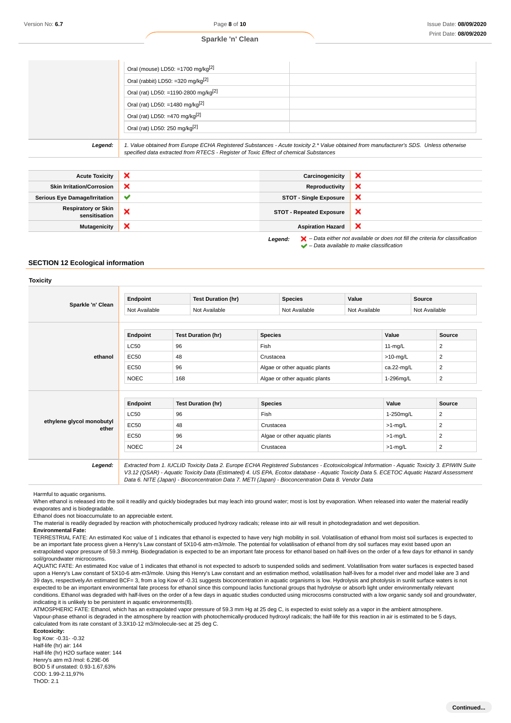#### **Sparkle 'n' Clean**

|         | Oral (mouse) LD50: =1700 mg/kg $[2]$                                                                                                                                                                                            |
|---------|---------------------------------------------------------------------------------------------------------------------------------------------------------------------------------------------------------------------------------|
|         | Oral (rabbit) LD50: =320 mg/kg $[2]$                                                                                                                                                                                            |
|         | Oral (rat) LD50: =1190-2800 mg/kg <sup>[2]</sup>                                                                                                                                                                                |
|         | Oral (rat) LD50: =1480 mg/kg[2]                                                                                                                                                                                                 |
|         | Oral (rat) LD50: =470 mg/kg <sup>[2]</sup>                                                                                                                                                                                      |
|         | Oral (rat) LD50: 250 mg/kg <sup>[2]</sup>                                                                                                                                                                                       |
|         |                                                                                                                                                                                                                                 |
| Legend: | 1. Value obtained from Europe ECHA Registered Substances - Acute toxicity 2.* Value obtained from manufacturer's SDS. Unless otherwise<br>specified data extracted from RTECS - Register of Toxic Effect of chemical Substances |

| <b>Acute Toxicity</b>                                                                                         | $\boldsymbol{\mathsf{x}}$ | Carcinogenicity                 | × |
|---------------------------------------------------------------------------------------------------------------|---------------------------|---------------------------------|---|
| <b>Skin Irritation/Corrosion</b>                                                                              | ×                         | Reproductivity                  | × |
| <b>Serious Eye Damage/Irritation</b>                                                                          | $\checkmark$              | <b>STOT - Single Exposure</b>   | × |
| <b>Respiratory or Skin</b><br>sensitisation                                                                   | ×                         | <b>STOT - Repeated Exposure</b> | × |
| <b>Mutagenicity</b>                                                                                           | ×                         | <b>Aspiration Hazard</b>        | x |
| $\blacktriangleright$ - Data either not available or does not fill the criteria for classification<br>Legend: |                           |                                 |   |

 $\blacktriangleright$  – Data available to make classification

#### **SECTION 12 Ecological information**

# **Toxicity Sparkle 'n' Clean Endpoint Test Duration (hr) Species Value Source** Not Available Not Available Not Available Not Available Not Available **ethanol Endpoint Test Duration (hr) Species Value Source**  $\sim$  2006  $\sim$  Fish 11-mg/L 2  $EC50$   $48$   $|Crustacea$   $\rightarrow$ 10-mg/L  $2$ EC50 96 96 Algae or other aquatic plants ca.22-mg/L 2 NOEC 168 Algae or other aquatic plants 1-296mg/L 2 **ethylene glycol monobutyl ether Endpoint Test Duration (hr) Species Value Source**  $\left\lfloor \frac{1}{2} \right\rfloor$  LC50  $\left\lfloor \frac{96}{2} \right\rfloor$  96  $\left\lfloor \frac{1}{2} \right\rfloor$  . Fish  $\left\lfloor \frac{1}{2} \right\rfloor$  2.250mg/L  $\left\lfloor \frac{25}{2} \right\rfloor$ EC50 48 Crustacea compared to the Crustacea compared to the state of  $\ge$ 1-mg/L 2 EC50 96 Algae or other aquatic plants >1-mg/L 2 NOEC 24 Crustacea >1-mg/L 2 **Legend:** Extracted from 1. IUCLID Toxicity Data 2. Europe ECHA Registered Substances - Ecotoxicological Information - Aquatic Toxicity 3. EPIWIN Suite V3.12 (QSAR) - Aquatic Toxicity Data (Estimated) 4. US EPA, Ecotox database - Aquatic Toxicity Data 5. ECETOC Aquatic Hazard Assessment

Harmful to aquatic organisms.

When ethanol is released into the soil it readily and quickly biodegrades but may leach into ground water; most is lost by evaporation. When released into water the material readily evaporates and is biodegradable.

Data 6. NITE (Japan) - Bioconcentration Data 7. METI (Japan) - Bioconcentration Data 8. Vendor Data

Ethanol does not bioaccumulate to an appreciable extent.

The material is readily degraded by reaction with photochemically produced hydroxy radicals; release into air will result in photodegradation and wet deposition.

**Environmental Fate:**

TERRESTRIAL FATE: An estimated Koc value of 1 indicates that ethanol is expected to have very high mobility in soil. Volatilisation of ethanol from moist soil surfaces is expected to be an important fate process given a Henry's Law constant of 5X10-6 atm-m3/mole. The potential for volatilisation of ethanol from dry soil surfaces may exist based upon an extrapolated vapor pressure of 59.3 mmHg. Biodegradation is expected to be an important fate process for ethanol based on half-lives on the order of a few days for ethanol in sandy soil/groundwater microcosms.

AQUATIC FATE: An estimated Koc value of 1 indicates that ethanol is not expected to adsorb to suspended solids and sediment. Volatilisation from water surfaces is expected based upon a Henry's Law constant of 5X10-6 atm-m3/mole. Using this Henry's Law constant and an estimation method, volatilisation half-lives for a model river and model lake are 3 and 39 days, respectively.An estimated BCF= 3, from a log Kow of -0.31 suggests bioconcentration in aquatic organisms is low. Hydrolysis and photolysis in sunlit surface waters is not expected to be an important environmental fate process for ethanol since this compound lacks functional groups that hydrolyse or absorb light under environmentally relevant conditions. Ethanol was degraded with half-lives on the order of a few days in aquatic studies conducted using microcosms constructed with a low organic sandy soil and groundwater, indicating it is unlikely to be persistent in aquatic environments(8).

ATMOSPHERIC FATE: Ethanol, which has an extrapolated vapor pressure of 59.3 mm Hg at 25 deg C, is expected to exist solely as a vapor in the ambient atmosphere. Vapour-phase ethanol is degraded in the atmosphere by reaction with photochemically-produced hydroxyl radicals; the half-life for this reaction in air is estimated to be 5 days, calculated from its rate constant of 3.3X10-12 m3/molecule-sec at 25 deg C.

**Ecotoxicity:** log Kow: -0.31- -0.32 Half-life (hr) air: 144 Half-life (hr) H2O surface water: 144 Henry's atm m3 /mol: 6.29E-06 BOD 5 if unstated: 0.93-1.67,63% COD: 1.99-2.11,97%  $ThOD: 2.1$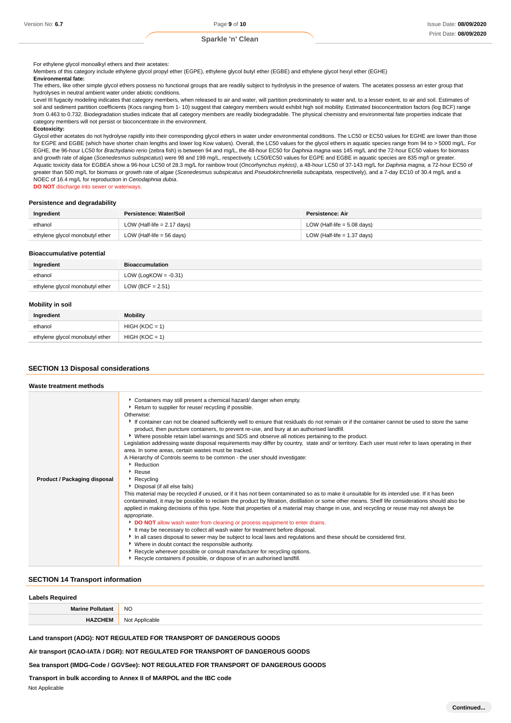For ethylene glycol monoalkyl ethers and their acetates:

Members of this category include ethylene glycol propyl ether (EGPE), ethylene glycol butyl ether (EGBE) and ethylene glycol hexyl ether (EGHE)

#### **Environmental fate:**

The ethers, like other simple glycol ethers possess no functional groups that are readily subject to hydrolysis in the presence of waters. The acetates possess an ester group that hydrolyses in neutral ambient water under abiotic conditions.

Level III fugacity modeling indicates that category members, when released to air and water, will partition predominately to water and, to a lesser extent, to air and soil. Estimates of soil and sediment partition coefficients (Kocs ranging from 1- 10) suggest that category members would exhibit high soil mobility. Estimated bioconcentration factors (log BCF) range from 0.463 to 0.732. Biodegradation studies indicate that all category members are readily biodegradable. The physical chemistry and environmental fate properties indicate that category members will not persist or bioconcentrate in the environment.

#### **Ecotoxicity:**

Glycol ether acetates do not hydrolyse rapidly into their corresponding glycol ethers in water under environmental conditions. The LC50 or EC50 values for EGHE are lower than those for EGPE and EGBE (which have shorter chain lengths and lower log Kow values). Overall, the LC50 values for the glycol ethers in aquatic species range from 94 to > 5000 mg/L. For EGHE, the 96-hour LC50 for Brachydanio rerio (zebra fish) is between 94 and mg/L, the 48-hour EC50 for Daphnia magna was 145 mg/L and the 72-hour EC50 values for biomass and growth rate of algae (Scenedesmus subspicatus) were 98 and 198 mg/L, respectively. LC50/EC50 values for EGPE and EGBE in aquatic species are 835 mg/l or greater. Aquatic toxicity data for EGBEA show a 96-hour LC50 of 28.3 mg/L for rainbow trout (Oncorhynchus mykiss), a 48-hour LC50 of 37-143 mg/L for Daphnia magna, a 72-hour EC50 of greater than 500 mg/L for biomass or growth rate of algae (Scenedesmus subspicatus and Pseudokirchneriella subcapitata, respectively), and a 7-day EC10 of 30.4 mg/L and a NOEC of 16.4 mg/L for reproduction in Ceriodaphnia dubia.

**DO NOT** discharge into sewer or waterways.

#### **Persistence and degradability**

| Ingredient                      | Persistence: Water/Soil       | Persistence: Air              |
|---------------------------------|-------------------------------|-------------------------------|
| ethanol                         | LOW (Half-life $= 2.17$ days) | LOW (Half-life $= 5.08$ days) |
| ethylene glycol monobutyl ether | LOW (Half-life = 56 days)     | LOW (Half-life $= 1.37$ days) |

#### **Bioaccumulative potential**

| Ingredient                      | <b>Bioaccumulation</b>  |
|---------------------------------|-------------------------|
| ethanol                         | LOW (LogKOW = $-0.31$ ) |
| ethylene glycol monobutyl ether | LOW (BCF = $2.51$ )     |

### **Mobility in soil**

| Ingredient                      | <b>Mobility</b>  |
|---------------------------------|------------------|
| ethanol                         | $HIGH (KOC = 1)$ |
| ethylene glycol monobutyl ether | $HIGH (KOC = 1)$ |

#### **SECTION 13 Disposal considerations**

#### **Waste treatment methods**

| Product / Packaging disposal | Containers may still present a chemical hazard/ danger when empty.<br>Return to supplier for reuse/ recycling if possible.<br>Otherwise:<br>If container can not be cleaned sufficiently well to ensure that residuals do not remain or if the container cannot be used to store the same<br>product, then puncture containers, to prevent re-use, and bury at an authorised landfill.<br>▶ Where possible retain label warnings and SDS and observe all notices pertaining to the product.<br>Legislation addressing waste disposal requirements may differ by country, state and/ or territory. Each user must refer to laws operating in their<br>area. In some areas, certain wastes must be tracked.<br>A Hierarchy of Controls seems to be common - the user should investigate:<br>Reduction<br>$\cdot$ Reuse<br>$\triangleright$ Recycling<br>Disposal (if all else fails)<br>This material may be recycled if unused, or if it has not been contaminated so as to make it unsuitable for its intended use. If it has been<br>contaminated, it may be possible to reclaim the product by filtration, distillation or some other means. Shelf life considerations should also be<br>applied in making decisions of this type. Note that properties of a material may change in use, and recycling or reuse may not always be<br>appropriate.<br>DO NOT allow wash water from cleaning or process equipment to enter drains.<br>It may be necessary to collect all wash water for treatment before disposal.<br>In all cases disposal to sewer may be subject to local laws and regulations and these should be considered first.<br>• Where in doubt contact the responsible authority.<br>▶ Recycle wherever possible or consult manufacturer for recycling options.<br>▶ Recycle containers if possible, or dispose of in an authorised landfill. |  |  |  |
|------------------------------|------------------------------------------------------------------------------------------------------------------------------------------------------------------------------------------------------------------------------------------------------------------------------------------------------------------------------------------------------------------------------------------------------------------------------------------------------------------------------------------------------------------------------------------------------------------------------------------------------------------------------------------------------------------------------------------------------------------------------------------------------------------------------------------------------------------------------------------------------------------------------------------------------------------------------------------------------------------------------------------------------------------------------------------------------------------------------------------------------------------------------------------------------------------------------------------------------------------------------------------------------------------------------------------------------------------------------------------------------------------------------------------------------------------------------------------------------------------------------------------------------------------------------------------------------------------------------------------------------------------------------------------------------------------------------------------------------------------------------------------------------------------------------------------------------------------------------------------------------------|--|--|--|

#### **SECTION 14 Transport information**

# **Labels Required Marine Pollutant** NO **HAZCHEM** Not Applicable

**Land transport (ADG): NOT REGULATED FOR TRANSPORT OF DANGEROUS GOODS**

**Air transport (ICAO-IATA / DGR): NOT REGULATED FOR TRANSPORT OF DANGEROUS GOODS**

**Sea transport (IMDG-Code / GGVSee): NOT REGULATED FOR TRANSPORT OF DANGEROUS GOODS**

#### **Transport in bulk according to Annex II of MARPOL and the IBC code**

Not Applicable